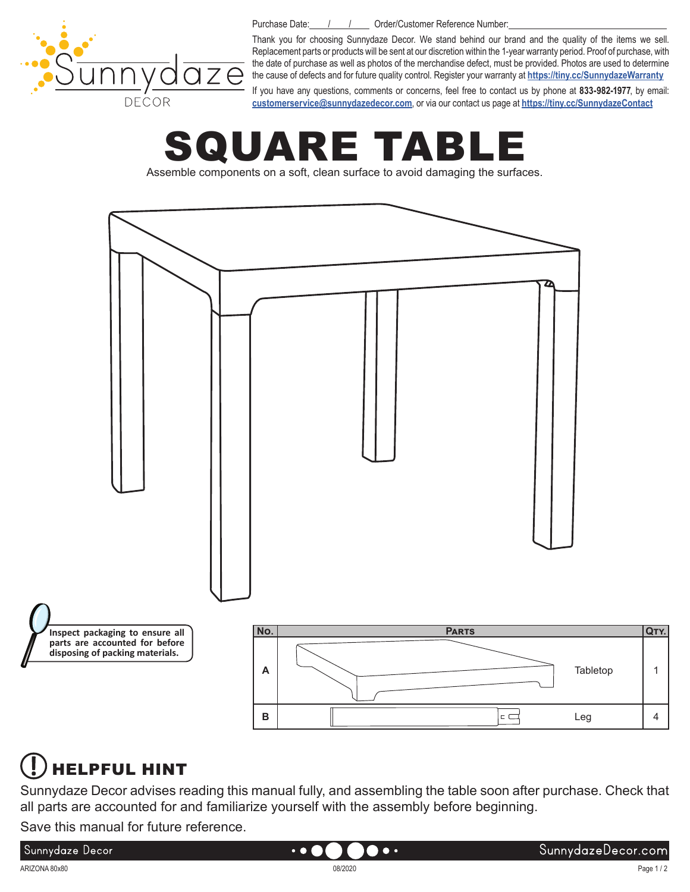

Purchase Date: / / / Drder/Customer Reference Number:

Thank you for choosing Sunnydaze Decor. We stand behind our brand and the quality of the items we sell. Replacement parts or products will be sent at our discretion within the 1-year warranty period. Proof of purchase, with the date of purchase as well as photos of the merchandise defect, must be provided. Photos are used to determine the cause of defects and for future quality control. Register your warranty at **<https://tiny.cc/SunnydazeWarranty>**

If you have any questions, comments or concerns, feel free to contact us by phone at **833-982-1977**, by email: **[customerservice@sunnydazedecor.com](mailto:customerservice%40sunnydazedecor.com?subject=)**, or via our contact us page at **<https://tiny.cc/SunnydazeContact>**

# ARE TABI

Assemble components on a soft, clean surface to avoid damaging the surfaces.



#### HELPFUL HINT

Sunnydaze Decor advises reading this manual fully, and assembling the table soon after purchase. Check that all parts are accounted for and familiarize yourself with the assembly before beginning.

Save this manual for future reference.

#### Sunnydaze Decor

Page 1 / 2

 $\bullet\bullet$ 

 $\bullet$